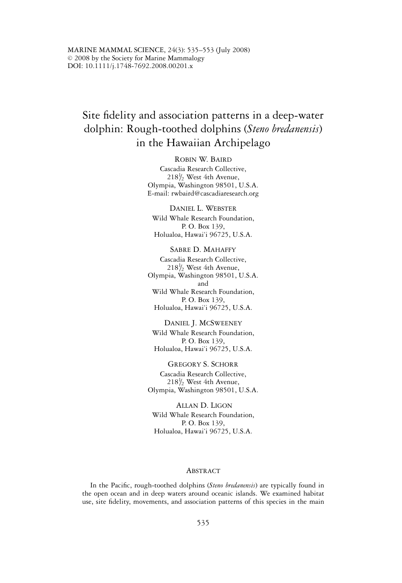MARINE MAMMAL SCIENCE, 24(3): 535–553 (July 2008)  $©$  2008 by the Society for Marine Mammalogy DOI: 10.1111/j.1748-7692.2008.00201.x

# Site fidelity and association patterns in a deep-water dolphin: Rough-toothed dolphins (*Steno bredanensis*) in the Hawaiian Archipelago

ROBIN W. BAIRD Cascadia Research Collective,  $218\frac{1}{2}$  West 4th Avenue, Olympia, Washington 98501, U.S.A. E-mail: rwbaird@cascadiaresearch.org

DANIEL L. WEBSTER Wild Whale Research Foundation, P. O. Box 139, Holualoa, Hawai'i 96725, U.S.A.

SABRE D. MAHAFFY Cascadia Research Collective,  $218\frac{1}{2}$  West 4th Avenue, Olympia, Washington 98501, U.S.A. and Wild Whale Research Foundation, P. O. Box 139, Holualoa, Hawai'i 96725, U.S.A.

DANIEL J. MCSWEENEY Wild Whale Research Foundation, P. O. Box 139, Holualoa, Hawai'i 96725, U.S.A.

GREGORY S. SCHORR Cascadia Research Collective,  $218\frac{1}{2}$  West 4th Avenue, Olympia, Washington 98501, U.S.A.

ALLAN D. LIGON Wild Whale Research Foundation, P. O. Box 139, Holualoa, Hawai'i 96725, U.S.A.

### ABSTRACT

In the Pacific, rough-toothed dolphins (*Steno bredanensis*) are typically found in the open ocean and in deep waters around oceanic islands. We examined habitat use, site fidelity, movements, and association patterns of this species in the main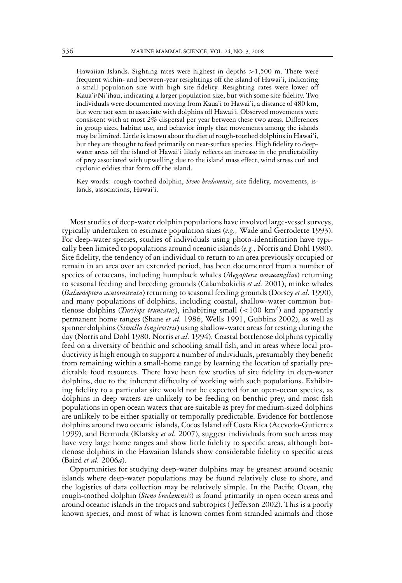Hawaiian Islands. Sighting rates were highest in depths  $>1,500$  m. There were frequent within- and between-year resightings off the island of Hawai'i, indicating a small population size with high site fidelity. Resighting rates were lower off Kaua'i/Ni'ihau, indicating a larger population size, but with some site fidelity. Two individuals were documented moving from Kaua'i to Hawai'i, a distance of 480 km, but were not seen to associate with dolphins off Hawai'i. Observed movements were consistent with at most 2% dispersal per year between these two areas. Differences in group sizes, habitat use, and behavior imply that movements among the islands may be limited. Little is known about the diet of rough-toothed dolphins in Hawai'i, but they are thought to feed primarily on near-surface species. High fidelity to deepwater areas off the island of Hawai'i likely reflects an increase in the predictability of prey associated with upwelling due to the island mass effect, wind stress curl and cyclonic eddies that form off the island.

Key words: rough-toothed dolphin, *Steno bredanensis*, site fidelity, movements, islands, associations, Hawai'i.

Most studies of deep-water dolphin populations have involved large-vessel surveys, typically undertaken to estimate population sizes (*e.g.,* Wade and Gerrodette 1993). For deep-water species, studies of individuals using photo-identification have typically been limited to populations around oceanic islands (*e.g.,* Norris and Dohl 1980). Site fidelity, the tendency of an individual to return to an area previously occupied or remain in an area over an extended period, has been documented from a number of species of cetaceans, including humpback whales (*Megaptera novaeangliae*) returning to seasonal feeding and breeding grounds (Calambokidis *et al.* 2001), minke whales (*Balaenoptera acutorostrata*) returning to seasonal feeding grounds (Dorsey *et al.* 1990), and many populations of dolphins, including coastal, shallow-water common bottlenose dolphins (*Tursiops truncatus*), inhabiting small  $(<100 \text{ km}^2$ ) and apparently permanent home ranges (Shane *et al.* 1986, Wells 1991, Gubbins 2002), as well as spinner dolphins (*Stenella longirostris*) using shallow-water areas for resting during the day (Norris and Dohl 1980, Norris *et al.* 1994). Coastal bottlenose dolphins typically feed on a diversity of benthic and schooling small fish, and in areas where local productivity is high enough to support a number of individuals, presumably they benefit from remaining within a small-home range by learning the location of spatially predictable food resources. There have been few studies of site fidelity in deep-water dolphins, due to the inherent difficulty of working with such populations. Exhibiting fidelity to a particular site would not be expected for an open-ocean species, as dolphins in deep waters are unlikely to be feeding on benthic prey, and most fish populations in open ocean waters that are suitable as prey for medium-sized dolphins are unlikely to be either spatially or temporally predictable. Evidence for bottlenose dolphins around two oceanic islands, Cocos Island off Costa Rica (Acevedo-Gutierrez 1999), and Bermuda (Klatsky *et al.* 2007), suggest individuals from such areas may have very large home ranges and show little fidelity to specific areas, although bottlenose dolphins in the Hawaiian Islands show considerable fidelity to specific areas (Baird *et al.* 2006*a*).

Opportunities for studying deep-water dolphins may be greatest around oceanic islands where deep-water populations may be found relatively close to shore, and the logistics of data collection may be relatively simple. In the Pacific Ocean, the rough-toothed dolphin (*Steno bredanensis*) is found primarily in open ocean areas and around oceanic islands in the tropics and subtropics ( Jefferson 2002). This is a poorly known species, and most of what is known comes from stranded animals and those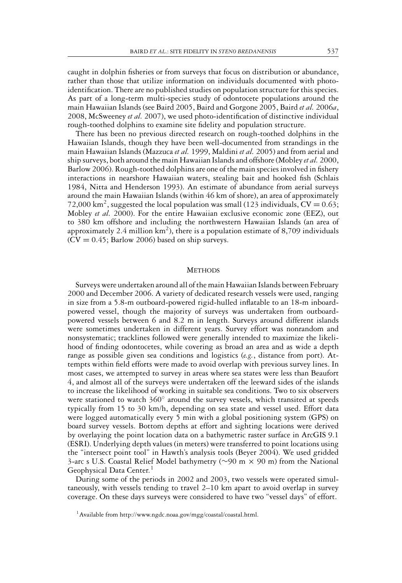caught in dolphin fisheries or from surveys that focus on distribution or abundance, rather than those that utilize information on individuals documented with photoidentification. There are no published studies on population structure for this species. As part of a long-term multi-species study of odontocete populations around the main Hawaiian Islands (see Baird 2005, Baird and Gorgone 2005, Baird *et al.* 2006*a*, 2008, McSweeney *et al.* 2007), we used photo-identification of distinctive individual rough-toothed dolphins to examine site fidelity and population structure.

There has been no previous directed research on rough-toothed dolphins in the Hawaiian Islands, though they have been well-documented from strandings in the main Hawaiian Islands (Mazzuca *et al.* 1999, Maldini *et al.* 2005) and from aerial and ship surveys, both around the main Hawaiian Islands and offshore (Mobley *et al.* 2000, Barlow 2006). Rough-toothed dolphins are one of the main species involved in fishery interactions in nearshore Hawaiian waters, stealing bait and hooked fish (Schlais 1984, Nitta and Henderson 1993). An estimate of abundance from aerial surveys around the main Hawaiian Islands (within 46 km of shore), an area of approximately 72,000 km<sup>2</sup>, suggested the local population was small (123 individuals,  $CV = 0.63$ ; Mobley *et al.* 2000). For the entire Hawaiian exclusive economic zone (EEZ), out to 380 km offshore and including the northwestern Hawaiian Islands (an area of approximately 2.4 million  $km^2$ ), there is a population estimate of 8,709 individuals  $(CV = 0.45;$  Barlow 2006) based on ship surveys.

### **METHODS**

Surveys were undertaken around all of the main Hawaiian Islands between February 2000 and December 2006. A variety of dedicated research vessels were used, ranging in size from a 5.8-m outboard-powered rigid-hulled inflatable to an 18-m inboardpowered vessel, though the majority of surveys was undertaken from outboardpowered vessels between 6 and 8.2 m in length. Surveys around different islands were sometimes undertaken in different years. Survey effort was nonrandom and nonsystematic; tracklines followed were generally intended to maximize the likelihood of finding odontocetes, while covering as broad an area and as wide a depth range as possible given sea conditions and logistics (*e.g.*, distance from port). Attempts within field efforts were made to avoid overlap with previous survey lines. In most cases, we attempted to survey in areas where sea states were less than Beaufort 4, and almost all of the surveys were undertaken off the leeward sides of the islands to increase the likelihood of working in suitable sea conditions. Two to six observers were stationed to watch 360° around the survey vessels, which transited at speeds typically from 15 to 30 km/h, depending on sea state and vessel used. Effort data were logged automatically every 5 min with a global positioning system (GPS) on board survey vessels. Bottom depths at effort and sighting locations were derived by overlaying the point location data on a bathymetric raster surface in ArcGIS 9.1 (ESRI). Underlying depth values (in meters) were transferred to point locations using the "intersect point tool" in Hawth's analysis tools (Beyer 2004). We used gridded 3-arc s U.S. Coastal Relief Model bathymetry (∼90 m × 90 m) from the National Geophysical Data Center.<sup>1</sup>

During some of the periods in 2002 and 2003, two vessels were operated simultaneously, with vessels tending to travel 2–10 km apart to avoid overlap in survey coverage. On these days surveys were considered to have two "vessel days" of effort.

<sup>&</sup>lt;sup>1</sup> Available from http://www.ngdc.noaa.gov/mgg/coastal/coastal.html.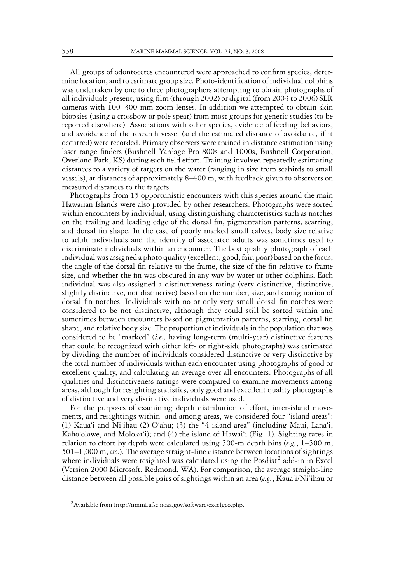All groups of odontocetes encountered were approached to confirm species, determine location, and to estimate group size. Photo-identification of individual dolphins was undertaken by one to three photographers attempting to obtain photographs of all individuals present, using film (through 2002) or digital (from 2003 to 2006) SLR cameras with 100–300-mm zoom lenses. In addition we attempted to obtain skin biopsies (using a crossbow or pole spear) from most groups for genetic studies (to be reported elsewhere). Associations with other species, evidence of feeding behaviors, and avoidance of the research vessel (and the estimated distance of avoidance, if it occurred) were recorded. Primary observers were trained in distance estimation using laser range finders (Bushnell Yardage Pro 800s and 1000s, Bushnell Corporation, Overland Park, KS) during each field effort. Training involved repeatedly estimating distances to a variety of targets on the water (ranging in size from seabirds to small vessels), at distances of approximately 8–400 m, with feedback given to observers on measured distances to the targets.

Photographs from 15 opportunistic encounters with this species around the main Hawaiian Islands were also provided by other researchers. Photographs were sorted within encounters by individual, using distinguishing characteristics such as notches on the trailing and leading edge of the dorsal fin, pigmentation patterns, scarring, and dorsal fin shape. In the case of poorly marked small calves, body size relative to adult individuals and the identity of associated adults was sometimes used to discriminate individuals within an encounter. The best quality photograph of each individual was assigned a photo quality (excellent, good, fair, poor) based on the focus, the angle of the dorsal fin relative to the frame, the size of the fin relative to frame size, and whether the fin was obscured in any way by water or other dolphins. Each individual was also assigned a distinctiveness rating (very distinctive, distinctive, slightly distinctive, not distinctive) based on the number, size, and configuration of dorsal fin notches. Individuals with no or only very small dorsal fin notches were considered to be not distinctive, although they could still be sorted within and sometimes between encounters based on pigmentation patterns, scarring, dorsal fin shape, and relative body size. The proportion of individuals in the population that was considered to be "marked" (*i.e.,* having long-term (multi-year) distinctive features that could be recognized with either left- or right-side photographs) was estimated by dividing the number of individuals considered distinctive or very distinctive by the total number of individuals within each encounter using photographs of good or excellent quality, and calculating an average over all encounters. Photographs of all qualities and distinctiveness ratings were compared to examine movements among areas, although for resighting statistics, only good and excellent quality photographs of distinctive and very distinctive individuals were used.

For the purposes of examining depth distribution of effort, inter-island movements, and resightings within- and among-areas, we considered four "island areas": (1) Kaua'i and Ni'ihau (2) O'ahu; (3) the "4-island area" (including Maui, Lana'i, Kaho'olawe, and Moloka'i); and (4) the island of Hawai'i (Fig. 1). Sighting rates in relation to effort by depth were calculated using 500-m depth bins (*e.g.*, 1–500 m, 501–1,000 m, *etc*.). The average straight-line distance between locations of sightings where individuals were resighted was calculated using the Posdist<sup>2</sup> add-in in Excel (Version 2000 Microsoft, Redmond, WA). For comparison, the average straight-line distance between all possible pairs of sightings within an area (*e.g.*, Kaua'i/Ni'ihau or

<sup>&</sup>lt;sup>2</sup>Available from http://nmml.afsc.noaa.gov/software/excelgeo.php.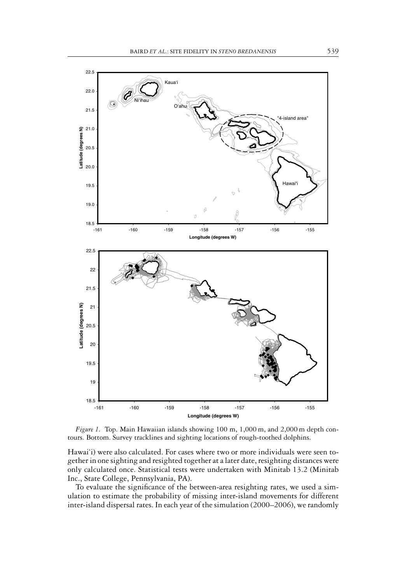

*Figure 1.* Top. Main Hawaiian islands showing 100 m, 1,000 m, and 2,000 m depth contours. Bottom. Survey tracklines and sighting locations of rough-toothed dolphins.

Hawai'i) were also calculated. For cases where two or more individuals were seen together in one sighting and resighted together at a later date, resighting distances were only calculated once. Statistical tests were undertaken with Minitab 13.2 (Minitab Inc., State College, Pennsylvania, PA).

To evaluate the significance of the between-area resighting rates, we used a simulation to estimate the probability of missing inter-island movements for different inter-island dispersal rates. In each year of the simulation (2000–2006), we randomly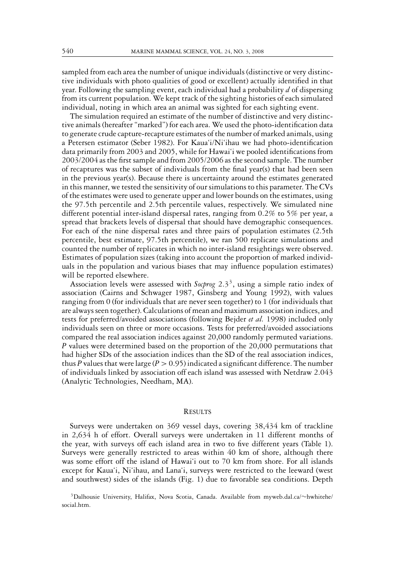sampled from each area the number of unique individuals (distinctive or very distinctive individuals with photo qualities of good or excellent) actually identified in that year. Following the sampling event, each individual had a probability *d* of dispersing from its current population. We kept track of the sighting histories of each simulated individual, noting in which area an animal was sighted for each sighting event.

The simulation required an estimate of the number of distinctive and very distinctive animals (hereafter"marked") for each area. We used the photo-identification data to generate crude capture-recapture estimates of the number of marked animals, using a Petersen estimator (Seber 1982). For Kaua'i/Ni'ihau we had photo-identification data primarily from 2003 and 2005, while for Hawai'i we pooled identifications from 2003/2004 as the first sample and from 2005/2006 as the second sample. The number of recaptures was the subset of individuals from the final year(s) that had been seen in the previous year(s). Because there is uncertainty around the estimates generated in this manner, we tested the sensitivity of our simulations to this parameter. The CVs of the estimates were used to generate upper and lower bounds on the estimates, using the 97.5th percentile and 2.5th percentile values, respectively. We simulated nine different potential inter-island dispersal rates, ranging from 0.2% to 5% per year, a spread that brackets levels of dispersal that should have demographic consequences. For each of the nine dispersal rates and three pairs of population estimates (2.5th percentile, best estimate, 97.5th percentile), we ran 500 replicate simulations and counted the number of replicates in which no inter-island resightings were observed. Estimates of population sizes (taking into account the proportion of marked individuals in the population and various biases that may influence population estimates) will be reported elsewhere.

Association levels were assessed with *Socprog* 2.33, using a simple ratio index of association (Cairns and Schwager 1987, Ginsberg and Young 1992), with values ranging from 0 (for individuals that are never seen together) to 1 (for individuals that are always seen together). Calculations of mean and maximum association indices, and tests for preferred/avoided associations (following Bejder *et al.* 1998) included only individuals seen on three or more occasions. Tests for preferred/avoided associations compared the real association indices against 20,000 randomly permuted variations. *P* values were determined based on the proportion of the 20,000 permutations that had higher SDs of the association indices than the SD of the real association indices, thus *P* values that were large ( $P > 0.95$ ) indicated a significant difference. The number of individuals linked by association off each island was assessed with Netdraw 2.043 (Analytic Technologies, Needham, MA).

### RESULTS

Surveys were undertaken on 369 vessel days, covering 38,434 km of trackline in 2,634 h of effort. Overall surveys were undertaken in 11 different months of the year, with surveys off each island area in two to five different years (Table 1). Surveys were generally restricted to areas within 40 km of shore, although there was some effort off the island of Hawai'i out to 70 km from shore. For all islands except for Kaua'i, Ni'ihau, and Lana'i, surveys were restricted to the leeward (west and southwest) sides of the islands (Fig. 1) due to favorable sea conditions. Depth

3Dalhousie University, Halifax, Nova Scotia, Canada. Available from myweb.dal.ca/∼hwhitehe/ social.htm.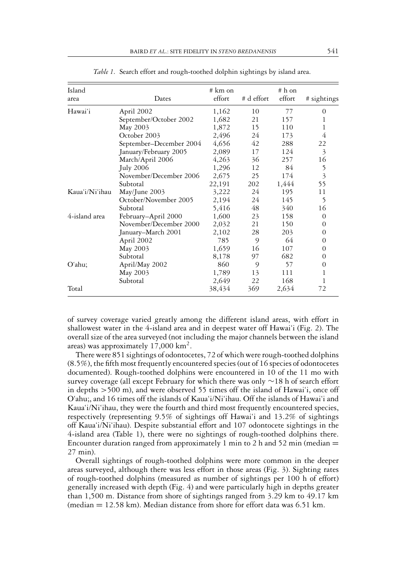| Island         |                         | # km on |            | $# h$ on |                         |
|----------------|-------------------------|---------|------------|----------|-------------------------|
| area           | Dates                   | effort  | # d effort | effort   | # sightings             |
| Hawai'i        | April 2002              | 1,162   | 10         | 77       | $\Omega$                |
|                | September/October 2002  | 1,682   | 21         | 157      | 1                       |
|                | May 2003                | 1,872   | 15         | 110      | 1                       |
|                | October 2003            | 2,496   | 24         | 173      | 4                       |
|                | September-December 2004 | 4,656   | 42         | 288      | 22                      |
|                | January/February 2005   | 2,089   | 17         | 124      | 3                       |
|                | March/April 2006        | 4,263   | 36         | 257      | 16                      |
|                | <b>July 2006</b>        | 1,296   | 12         | 84       | 5                       |
|                | November/December 2006  | 2,675   | 25         | 174      | $\overline{\mathbf{3}}$ |
|                | Subtotal                | 22,191  | 202        | 1,444    | 55                      |
| Kaua'i/Ni'ihau | May/June 2003           | 3,222   | 24         | 195      | 11                      |
|                | October/November 2005   | 2,194   | 24         | 145      | 5                       |
|                | Subtotal                | 5,416   | 48         | 340      | 16                      |
| 4-island area  | February-April 2000     | 1,600   | 23         | 158      | $\Omega$                |
|                | November/December 2000  | 2,032   | 21         | 150      | $\theta$                |
|                | January-March 2001      | 2,102   | 28         | 203      | $\Omega$                |
|                | April 2002              | 785     | 9          | 64       | $\mathbf{0}$            |
|                | May 2003                | 1,659   | 16         | 107      | $\Omega$                |
|                | Subtotal                | 8,178   | 97         | 682      | $\Omega$                |
| O'ahu;         | April/May 2002          | 860     | 9          | 57       | $\theta$                |
|                | May 2003                | 1,789   | 13         | 111      | 1                       |
|                | Subtotal                | 2,649   | 22         | 168      | 1                       |
| Total          |                         | 38,434  | 369        | 2,634    | 72                      |

*Table 1.* Search effort and rough-toothed dolphin sightings by island area.

of survey coverage varied greatly among the different island areas, with effort in shallowest water in the 4-island area and in deepest water off Hawai'i (Fig. 2). The overall size of the area surveyed (not including the major channels between the island areas) was approximately  $17,000 \text{ km}^2$ .

There were 851 sightings of odontocetes, 72 of which were rough-toothed dolphins (8.5%), the fifth most frequently encountered species (out of 16 species of odontocetes documented). Rough-toothed dolphins were encountered in 10 of the 11 mo with survey coverage (all except February for which there was only ∼18 h of search effort in depths >500 m), and were observed 55 times off the island of Hawai'i, once off O'ahu;, and 16 times off the islands of Kaua'i/Ni'ihau. Off the islands of Hawai'i and Kaua'i/Ni'ihau, they were the fourth and third most frequently encountered species, respectively (representing 9.5% of sightings off Hawai'i and 13.2% of sightings off Kaua'i/Ni'ihau). Despite substantial effort and 107 odontocete sightings in the 4-island area (Table 1), there were no sightings of rough-toothed dolphins there. Encounter duration ranged from approximately 1 min to 2 h and 52 min (median  $=$ 27 min).

Overall sightings of rough-toothed dolphins were more common in the deeper areas surveyed, although there was less effort in those areas (Fig. 3). Sighting rates of rough-toothed dolphins (measured as number of sightings per 100 h of effort) generally increased with depth (Fig. 4) and were particularly high in depths greater than 1,500 m. Distance from shore of sightings ranged from 3.29 km to 49.17 km (median  $= 12.58$  km). Median distance from shore for effort data was 6.51 km.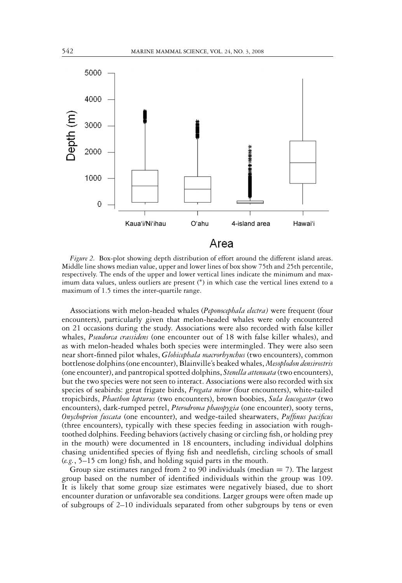

*Figure 2.* Box-plot showing depth distribution of effort around the different island areas. Middle line shows median value, upper and lower lines of box show 75th and 25th percentile, respectively. The ends of the upper and lower vertical lines indicate the minimum and maximum data values, unless outliers are present  $(*)$  in which case the vertical lines extend to a maximum of 1.5 times the inter-quartile range.

Associations with melon-headed whales (*Peponocephala electra)* were frequent (four encounters), particularly given that melon-headed whales were only encountered on 21 occasions during the study. Associations were also recorded with false killer whales, *Pseudorca crassidens* (one encounter out of 18 with false killer whales), and as with melon-headed whales both species were intermingled. They were also seen near short-finned pilot whales, *Globicephala macrorhynchus* (two encounters), common bottlenose dolphins (one encounter), Blainville's beaked whales, *Mesoplodon densirostris* (one encounter), and pantropical spotted dolphins, *Stenella attenuata* (two encounters), but the two species were not seen to interact. Associations were also recorded with six species of seabirds: great frigate birds, *Fregata minor* (four encounters), white-tailed tropicbirds, *Phaethon lepturus* (two encounters), brown boobies, *Sula leucogaster* (two encounters), dark-rumped petrel, *Pterodroma phaeopygia* (one encounter), sooty terns, *Onychoprion fuscata* (one encounter), and wedge-tailed shearwaters, *Puffinus pacificus* (three encounters), typically with these species feeding in association with roughtoothed dolphins. Feeding behaviors (actively chasing or circling fish, or holding prey in the mouth) were documented in 18 encounters, including individual dolphins chasing unidentified species of flying fish and needlefish, circling schools of small (*e.g.*, 5–15 cm long) fish, and holding squid parts in the mouth.

Group size estimates ranged from 2 to 90 individuals (median  $=$  7). The largest group based on the number of identified individuals within the group was 109. It is likely that some group size estimates were negatively biased, due to short encounter duration or unfavorable sea conditions. Larger groups were often made up of subgroups of 2–10 individuals separated from other subgroups by tens or even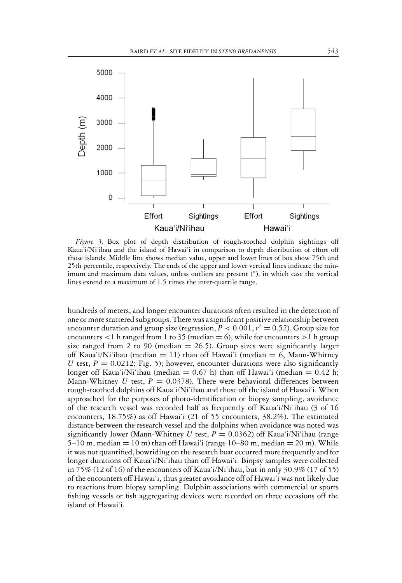

*Figure 3.* Box plot of depth distribution of rough-toothed dolphin sightings off Kaua'i/Ni'ihau and the island of Hawai'i in comparison to depth distribution of effort off those islands. Middle line shows median value, upper and lower lines of box show 75th and 25th percentile, respectively. The ends of the upper and lower vertical lines indicate the minimum and maximum data values, unless outliers are present (∗), in which case the vertical lines extend to a maximum of 1.5 times the inter-quartile range.

hundreds of meters, and longer encounter durations often resulted in the detection of one or more scattered subgroups. There was a significant positive relationship between encounter duration and group size (regression,  $P < 0.001$ ,  $r^2 = 0.52$ ). Group size for encounters  $<$ 1 h ranged from 1 to 35 (median = 6), while for encounters  $>$ 1 h group size ranged from 2 to 90 (median  $= 26.5$ ). Group sizes were significantly larger off Kaua'i/Ni'ihau (median = 11) than off Hawai'i (median = 6, Mann-Whitney *U* test,  $P = 0.0212$ ; Fig. 5); however, encounter durations were also significantly longer off Kaua'i/Ni'ihau (median =  $0.67$  h) than off Hawai'i (median =  $0.42$  h; Mann-Whitney *U* test,  $P = 0.0378$ . There were behavioral differences between rough-toothed dolphins off Kaua'i/Ni'ihau and those off the island of Hawai'i. When approached for the purposes of photo-identification or biopsy sampling, avoidance of the research vessel was recorded half as frequently off Kaua'i/Ni'ihau (3 of 16 encounters, 18.75%) as off Hawai'i (21 of 55 encounters, 38.2%). The estimated distance between the research vessel and the dolphins when avoidance was noted was significantly lower (Mann-Whitney *U* test,  $P = 0.0362$ ) off Kaua'i/Ni'ihau (range 5–10 m, median  $= 10$  m) than off Hawai'i (range 10–80 m, median  $= 20$  m). While it was not quantified, bowriding on the research boat occurred more frequently and for longer durations off Kaua'i/Ni'ihau than off Hawai'i. Biopsy samples were collected in 75% (12 of 16) of the encounters off Kaua'i/Ni'ihau, but in only 30.9% (17 of 55) of the encounters off Hawai'i, thus greater avoidance off of Hawai'i was not likely due to reactions from biopsy sampling. Dolphin associations with commercial or sports fishing vessels or fish aggregating devices were recorded on three occasions off the island of Hawai'i.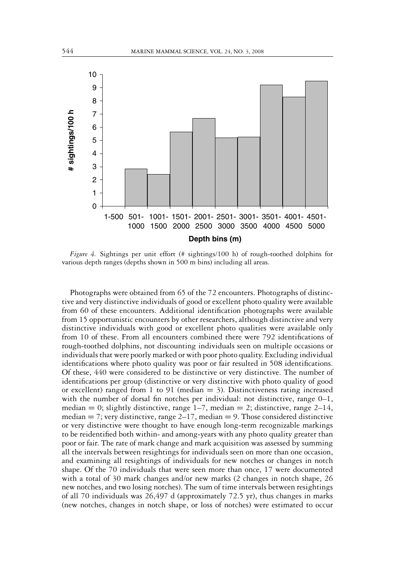

*Figure 4.* Sightings per unit effort (# sightings/100 h) of rough-toothed dolphins for various depth ranges (depths shown in 500 m bins) including all areas.

Photographs were obtained from 65 of the 72 encounters. Photographs of distinctive and very distinctive individuals of good or excellent photo quality were available from 60 of these encounters. Additional identification photographs were available from 15 opportunistic encounters by other researchers, although distinctive and very distinctive individuals with good or excellent photo qualities were available only from 10 of these. From all encounters combined there were 792 identifications of rough-toothed dolphins, not discounting individuals seen on multiple occasions or individuals that were poorly marked or with poor photo quality. Excluding individual identifications where photo quality was poor or fair resulted in 508 identifications. Of these, 440 were considered to be distinctive or very distinctive. The number of identifications per group (distinctive or very distinctive with photo quality of good or excellent) ranged from 1 to 91 (median  $=$  3). Distinctiveness rating increased with the number of dorsal fin notches per individual: not distinctive, range  $0-1$ , median = 0; slightly distinctive, range  $1-7$ , median = 2; distinctive, range  $2-14$ , median  $=$  7; very distinctive, range 2–17, median  $=$  9. Those considered distinctive or very distinctive were thought to have enough long-term recognizable markings to be reidentified both within- and among-years with any photo quality greater than poor or fair. The rate of mark change and mark acquisition was assessed by summing all the intervals between resightings for individuals seen on more than one occasion, and examining all resightings of individuals for new notches or changes in notch shape. Of the 70 individuals that were seen more than once, 17 were documented with a total of 30 mark changes and/or new marks (2 changes in notch shape, 26 new notches, and two losing notches). The sum of time intervals between resightings of all 70 individuals was 26,497 d (approximately 72.5 yr), thus changes in marks (new notches, changes in notch shape, or loss of notches) were estimated to occur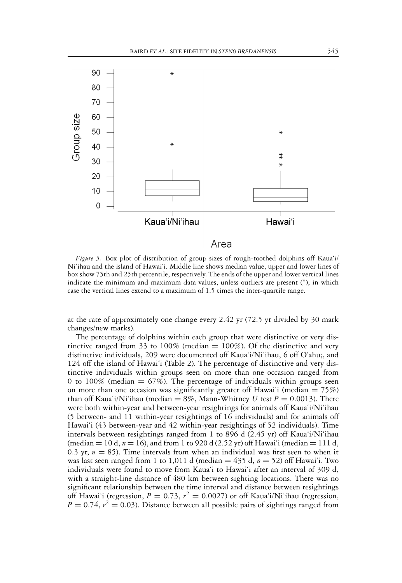

## Area

*Figure 5.* Box plot of distribution of group sizes of rough-toothed dolphins off Kaua'i/ Ni'ihau and the island of Hawai'i. Middle line shows median value, upper and lower lines of box show 75th and 25th percentile, respectively. The ends of the upper and lower vertical lines indicate the minimum and maximum data values, unless outliers are present (∗), in which case the vertical lines extend to a maximum of 1.5 times the inter-quartile range.

at the rate of approximately one change every 2.42 yr (72.5 yr divided by 30 mark changes/new marks).

The percentage of dolphins within each group that were distinctive or very distinctive ranged from 33 to 100% (median  $= 100\%$ ). Of the distinctive and very distinctive individuals, 209 were documented off Kaua'i/Ni'ihau, 6 off O'ahu;, and 124 off the island of Hawai'i (Table 2). The percentage of distinctive and very distinctive individuals within groups seen on more than one occasion ranged from 0 to 100% (median  $= 67\%$ ). The percentage of individuals within groups seen on more than one occasion was significantly greater off Hawai'i (median  $= 75\%$ ) than off Kaua'i/Ni'ihau (median =  $8\%$ , Mann-Whitney *U* test *P* = 0.0013). There were both within-year and between-year resightings for animals off Kaua'i/Ni'ihau (5 between- and 11 within-year resightings of 16 individuals) and for animals off Hawai'i (43 between-year and 42 within-year resightings of 52 individuals). Time intervals between resightings ranged from 1 to 896 d (2.45 yr) off Kaua'i/Ni'ihau (median = 10 d, *n* = 16), and from 1 to 920 d (2.52 yr) off Hawai'i (median = 111 d, 0.3 yr,  $n = 85$ ). Time intervals from when an individual was first seen to when it was last seen ranged from 1 to 1,011 d (median = 435 d, *n* = 52) off Hawai'i. Two individuals were found to move from Kaua'i to Hawai'i after an interval of 309 d, with a straight-line distance of 480 km between sighting locations. There was no significant relationship between the time interval and distance between resightings off Hawai'i (regression,  $P = 0.73$ ,  $r^2 = 0.0027$ ) or off Kaua'i/Ni'ihau (regression,  $P = 0.74$ ,  $r^2 = 0.03$ ). Distance between all possible pairs of sightings ranged from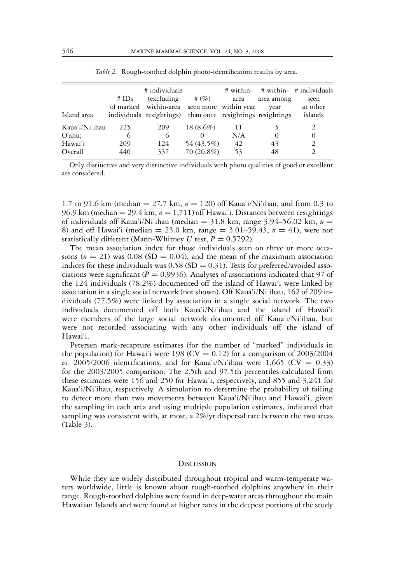|                             | # $IDs$    | # individuals<br><i>(excluding</i> )<br>of marked within-area seen more within year | # $(\% )$               | # within-<br>area | area among<br>year | # within- # individuals<br>seen<br>at other |
|-----------------------------|------------|-------------------------------------------------------------------------------------|-------------------------|-------------------|--------------------|---------------------------------------------|
| Island area                 |            | individuals resightings) than once resightings resightings                          |                         |                   |                    | islands                                     |
| Kaua'i/Ni'ihau<br>$O'$ ahu; | 225<br>6   | 209<br>6                                                                            | $18(8.6\%)$             | 11<br>N/A         | $\theta$           | $\Omega$                                    |
| Hawai'i<br>Overall          | 209<br>440 | 124<br>337                                                                          | 54 (43.5%)<br>70(20.8%) | 42<br>53          | 43<br>48           | 2<br>$\overline{2}$                         |

*Table 2.* Rough-toothed dolphin photo-identification results by area.

Only distinctive and very distinctive individuals with photo qualities of good or excellent are considered.

1.7 to 91.6 km (median = 27.7 km, *n* = 120) off Kaua'i/Ni'ihau, and from 0.3 to 96.9 km (median  $= 29.4$  km,  $n = 1,711$ ) off Hawai'i. Distances between resightings of individuals off Kaua'i/Ni'ihau (median =  $31.8$  km, range  $3.94-56.02$  km,  $n =$ 8) and off Hawai'i (median = 23.0 km, range = 3.01–59.43, *n* = 41), were not statistically different (Mann-Whitney *U* test,  $P = 0.5792$ ).

The mean association index for those individuals seen on three or more occasions ( $n = 21$ ) was  $0.08$  (SD = 0.04), and the mean of the maximum association indices for these individuals was  $0.58$  (SD = 0.31). Tests for preferred/avoided associations were significant ( $P = 0.9936$ ). Analyses of associations indicated that 97 of the 124 individuals (78.2%) documented off the island of Hawai'i were linked by association in a single social network (not shown). Off Kaua'i/Ni'ihau, 162 of 209 individuals (77.5%) were linked by association in a single social network. The two individuals documented off both Kaua'i/Ni'ihau and the island of Hawai'i were members of the large social network documented off Kaua'i/Ni'ihau, but were not recorded associating with any other individuals off the island of Hawai'i.

Petersen mark-recapture estimates (for the number of "marked" individuals in the population) for Hawai'i were 198 ( $CV = 0.12$ ) for a comparison of 2003/2004 *vs.* 2005/2006 identifications, and for Kaua'i/Ni'ihau were 1,665 (CV =  $0.33$ ) for the 2003/2005 comparison. The 2.5th and 97.5th percentiles calculated from these estimates were 156 and 250 for Hawai'i, respectively, and 855 and 3,241 for Kaua'i/Ni'ihau, respectively. A simulation to determine the probability of failing to detect more than two movements between Kaua'i/Ni'ihau and Hawai'i, given the sampling in each area and using multiple population estimates, indicated that sampling was consistent with, at most, a 2%/yr dispersal rate between the two areas (Table 3).

### **DISCUSSION**

While they are widely distributed throughout tropical and warm-temperate waters worldwide, little is known about rough-toothed dolphins anywhere in their range. Rough-toothed dolphins were found in deep-water areas throughout the main Hawaiian Islands and were found at higher rates in the deepest portions of the study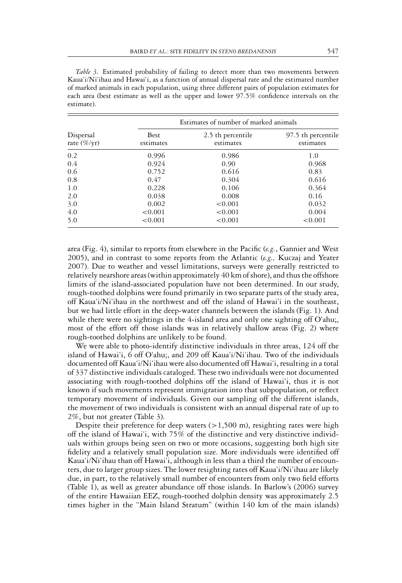| <i>Table 3.</i> Estimated probability of failing to detect more than two movements between    |
|-----------------------------------------------------------------------------------------------|
| Kaua'i/Ni'ihau and Hawai'i, as a function of annual dispersal rate and the estimated number   |
| of marked animals in each population, using three different pairs of population estimates for |
| each area (best estimate as well as the upper and lower 97.5% confidence intervals on the     |
| estimate).                                                                                    |

|                             | Estimates of number of marked animals |                                |                                 |  |  |
|-----------------------------|---------------------------------------|--------------------------------|---------------------------------|--|--|
| Dispersal<br>rate $(\%/yr)$ | <b>Best</b><br>estimates              | 2.5 th percentile<br>estimates | 97.5 th percentile<br>estimates |  |  |
| 0.2                         | 0.996                                 | 0.986                          | 1.0                             |  |  |
| 0.4                         | 0.924                                 | 0.90                           | 0.968                           |  |  |
| 0.6                         | 0.752                                 | 0.616                          | 0.83                            |  |  |
| 0.8                         | 0.47                                  | 0.304                          | 0.616                           |  |  |
| 1.0                         | 0.228                                 | 0.106                          | 0.364                           |  |  |
| 2.0                         | 0.038                                 | 0.008                          | 0.16                            |  |  |
| 3.0                         | 0.002                                 | < 0.001                        | 0.032                           |  |  |
| 4.0                         | < 0.001                               | < 0.001                        | 0.004                           |  |  |
| 5.0                         | < 0.001                               | < 0.001                        | < 0.001                         |  |  |

area (Fig. 4), similar to reports from elsewhere in the Pacific (*e.g.*, Gannier and West 2005), and in contrast to some reports from the Atlantic (*e.g.,* Kuczaj and Yeater 2007). Due to weather and vessel limitations, surveys were generally restricted to relatively nearshore areas (within approximately 40 km of shore), and thus the offshore limits of the island-associated population have not been determined. In our study, rough-toothed dolphins were found primarily in two separate parts of the study area, off Kaua'i/Ni'ihau in the northwest and off the island of Hawai'i in the southeast, but we had little effort in the deep-water channels between the islands (Fig. 1). And while there were no sightings in the 4-island area and only one sighting off O'ahu;, most of the effort off those islands was in relatively shallow areas (Fig. 2) where rough-toothed dolphins are unlikely to be found.

We were able to photo-identify distinctive individuals in three areas, 124 off the island of Hawai'i, 6 off O'ahu;, and 209 off Kaua'i/Ni'ihau. Two of the individuals documented off Kaua'i/Ni'ihau were also documented off Hawai'i, resulting in a total of 337 distinctive individuals cataloged. These two individuals were not documented associating with rough-toothed dolphins off the island of Hawai'i, thus it is not known if such movements represent immigration into that subpopulation, or reflect temporary movement of individuals. Given our sampling off the different islands, the movement of two individuals is consistent with an annual dispersal rate of up to 2%, but not greater (Table 3).

Despite their preference for deep waters  $(>1,500 \text{ m})$ , resighting rates were high off the island of Hawai'i, with 75% of the distinctive and very distinctive individuals within groups being seen on two or more occasions, suggesting both high site fidelity and a relatively small population size. More individuals were identified off Kaua'i/Ni'ihau than off Hawai'i, although in less than a third the number of encounters, due to larger group sizes. The lower resighting rates off Kaua'i/Ni'ihau are likely due, in part, to the relatively small number of encounters from only two field efforts (Table 1), as well as greater abundance off those islands. In Barlow's (2006) survey of the entire Hawaiian EEZ, rough-toothed dolphin density was approximately 2.5 times higher in the "Main Island Stratum" (within 140 km of the main islands)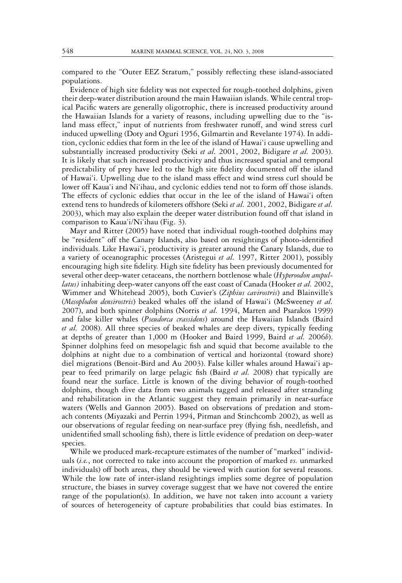compared to the "Outer EEZ Stratum," possibly reflecting these island-associated populations.

Evidence of high site fidelity was not expected for rough-toothed dolphins, given their deep-water distribution around the main Hawaiian islands. While central tropical Pacific waters are generally oligotrophic, there is increased productivity around the Hawaiian Islands for a variety of reasons, including upwelling due to the "island mass effect," input of nutrients from freshwater runoff, and wind stress curl induced upwelling (Doty and Oguri 1956, Gilmartin and Revelante 1974). In addition, cyclonic eddies that form in the lee of the island of Hawai'i cause upwelling and substantially increased productivity (Seki *et al.* 2001, 2002, Bidigare *et al.* 2003). It is likely that such increased productivity and thus increased spatial and temporal predictability of prey have led to the high site fidelity documented off the island of Hawai'i. Upwelling due to the island mass effect and wind stress curl should be lower off Kaua'i and Ni'ihau, and cyclonic eddies tend not to form off those islands. The effects of cyclonic eddies that occur in the lee of the island of Hawai'i often extend tens to hundreds of kilometers offshore (Seki *et al.* 2001, 2002, Bidigare *et al.* 2003), which may also explain the deeper water distribution found off that island in comparison to Kaua'i/Ni'ihau (Fig. 3).

Mayr and Ritter (2005) have noted that individual rough-toothed dolphins may be "resident" off the Canary Islands, also based on resightings of photo-identified individuals. Like Hawai'i, productivity is greater around the Canary Islands, due to a variety of oceanographic processes (Aristegui *et al.* 1997, Ritter 2001), possibly encouraging high site fidelity. High site fidelity has been previously documented for several other deep-water cetaceans, the northern bottlenose whale (*Hyperoodon ampullatus)* inhabiting deep-water canyons off the east coast of Canada (Hooker *et al.* 2002, Wimmer and Whitehead 2005), both Cuvier's (*Ziphius cavirostris*) and Blainville's (*Mesoplodon densirostris*) beaked whales off the island of Hawai'i (McSweeney *et al.* 2007), and both spinner dolphins (Norris *et al.* 1994, Marten and Psarakos 1999) and false killer whales (*Pseudorca crassidens*) around the Hawaiian Islands (Baird *et al.* 2008). All three species of beaked whales are deep divers, typically feeding at depths of greater than 1,000 m (Hooker and Baird 1999, Baird *et al.* 2006*b*). Spinner dolphins feed on mesopelagic fish and squid that become available to the dolphins at night due to a combination of vertical and horizontal (toward shore) diel migrations (Benoit-Bird and Au 2003). False killer whales around Hawai'i appear to feed primarily on large pelagic fish (Baird *et al.* 2008) that typically are found near the surface. Little is known of the diving behavior of rough-toothed dolphins, though dive data from two animals tagged and released after stranding and rehabilitation in the Atlantic suggest they remain primarily in near-surface waters (Wells and Gannon 2005). Based on observations of predation and stomach contents (Miyazaki and Perrin 1994, Pitman and Stinchcomb 2002), as well as our observations of regular feeding on near-surface prey (flying fish, needlefish, and unidentified small schooling fish), there is little evidence of predation on deep-water species.

While we produced mark-recapture estimates of the number of "marked" individuals (*i.e.*, not corrected to take into account the proportion of marked *vs.* unmarked individuals) off both areas, they should be viewed with caution for several reasons. While the low rate of inter-island resightings implies some degree of population structure, the biases in survey coverage suggest that we have not covered the entire range of the population(s). In addition, we have not taken into account a variety of sources of heterogeneity of capture probabilities that could bias estimates. In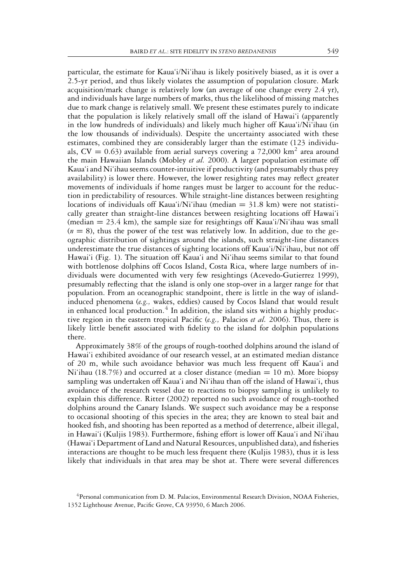particular, the estimate for Kaua'i/Ni'ihau is likely positively biased, as it is over a 2.5-yr period, and thus likely violates the assumption of population closure. Mark acquisition/mark change is relatively low (an average of one change every 2.4 yr), and individuals have large numbers of marks, thus the likelihood of missing matches due to mark change is relatively small. We present these estimates purely to indicate that the population is likely relatively small off the island of Hawai'i (apparently in the low hundreds of individuals) and likely much higher off Kaua'i/Ni'ihau (in the low thousands of individuals). Despite the uncertainty associated with these estimates, combined they are considerably larger than the estimate (123 individuals,  $CV = 0.63$ ) available from aerial surveys covering a 72,000 km<sup>2</sup> area around the main Hawaiian Islands (Mobley *et al.* 2000). A larger population estimate off Kaua'i and Ni'ihau seems counter-intuitive if productivity (and presumably thus prey availability) is lower there. However, the lower resighting rates may reflect greater movements of individuals if home ranges must be larger to account for the reduction in predictability of resources. While straight-line distances between resighting locations of individuals off Kaua'i/Ni'ihau (median  $=$  31.8 km) were not statistically greater than straight-line distances between resighting locations off Hawai'i (median  $= 23.4$  km), the sample size for resightings off Kaua'i/Ni'ihau was small  $(n = 8)$ , thus the power of the test was relatively low. In addition, due to the geographic distribution of sightings around the islands, such straight-line distances underestimate the true distances of sighting locations off Kaua'i/Ni'ihau, but not off Hawai'i (Fig. 1). The situation off Kaua'i and Ni'ihau seems similar to that found with bottlenose dolphins off Cocos Island, Costa Rica, where large numbers of individuals were documented with very few resightings (Acevedo-Gutierrez 1999), presumably reflecting that the island is only one stop-over in a larger range for that population. From an oceanographic standpoint, there is little in the way of islandinduced phenomena (*e.g.,* wakes, eddies) caused by Cocos Island that would result in enhanced local production.<sup>4</sup> In addition, the island sits within a highly productive region in the eastern tropical Pacific (*e.g.,* Palacios *et al.* 2006). Thus, there is likely little benefit associated with fidelity to the island for dolphin populations there.

Approximately 38% of the groups of rough-toothed dolphins around the island of Hawai'i exhibited avoidance of our research vessel, at an estimated median distance of 20 m, while such avoidance behavior was much less frequent off Kaua'i and Ni'ihau (18.7%) and occurred at a closer distance (median  $= 10$  m). More biopsy sampling was undertaken off Kaua'i and Ni'ihau than off the island of Hawai'i, thus avoidance of the research vessel due to reactions to biopsy sampling is unlikely to explain this difference. Ritter (2002) reported no such avoidance of rough-toothed dolphins around the Canary Islands. We suspect such avoidance may be a response to occasional shooting of this species in the area; they are known to steal bait and hooked fish, and shooting has been reported as a method of deterrence, albeit illegal, in Hawai'i (Kuljis 1983). Furthermore, fishing effort is lower off Kaua'i and Ni'ihau (Hawai'i Department of Land and Natural Resources, unpublished data), and fisheries interactions are thought to be much less frequent there (Kuljis 1983), thus it is less likely that individuals in that area may be shot at. There were several differences

<sup>&</sup>lt;sup>4</sup>Personal communication from D. M. Palacios, Environmental Research Division, NOAA Fisheries, 1352 Lighthouse Avenue, Pacific Grove, CA 93950, 6 March 2006.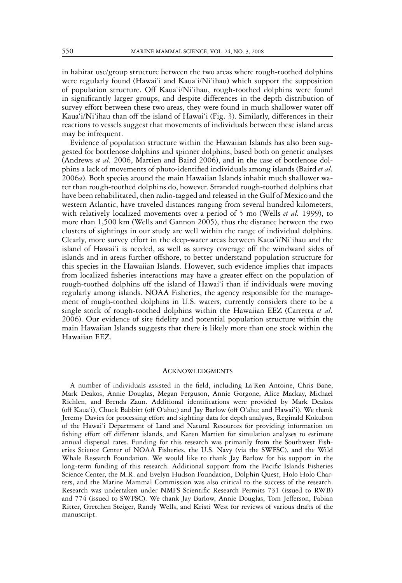in habitat use/group structure between the two areas where rough-toothed dolphins were regularly found (Hawai'i and Kaua'i/Ni'ihau) which support the supposition of population structure. Off Kaua'i/Ni'ihau, rough-toothed dolphins were found in significantly larger groups, and despite differences in the depth distribution of survey effort between these two areas, they were found in much shallower water off Kaua'i/Ni'ihau than off the island of Hawai'i (Fig. 3). Similarly, differences in their reactions to vessels suggest that movements of individuals between these island areas may be infrequent.

Evidence of population structure within the Hawaiian Islands has also been suggested for bottlenose dolphins and spinner dolphins, based both on genetic analyses (Andrews *et al.* 2006, Martien and Baird 2006), and in the case of bottlenose dolphins a lack of movements of photo-identified individuals among islands (Baird *et al.* 2006*a*). Both species around the main Hawaiian Islands inhabit much shallower water than rough-toothed dolphins do, however. Stranded rough-toothed dolphins that have been rehabilitated, then radio-tagged and released in the Gulf of Mexico and the western Atlantic, have traveled distances ranging from several hundred kilometers, with relatively localized movements over a period of 5 mo (Wells *et al.* 1999), to more than 1,500 km (Wells and Gannon 2005), thus the distance between the two clusters of sightings in our study are well within the range of individual dolphins. Clearly, more survey effort in the deep-water areas between Kaua'i/Ni'ihau and the island of Hawai'i is needed, as well as survey coverage off the windward sides of islands and in areas further offshore, to better understand population structure for this species in the Hawaiian Islands. However, such evidence implies that impacts from localized fisheries interactions may have a greater effect on the population of rough-toothed dolphins off the island of Hawai'i than if individuals were moving regularly among islands. NOAA Fisheries, the agency responsible for the management of rough-toothed dolphins in U.S. waters, currently considers there to be a single stock of rough-toothed dolphins within the Hawaiian EEZ (Carretta *et al.* 2006). Our evidence of site fidelity and potential population structure within the main Hawaiian Islands suggests that there is likely more than one stock within the Hawaiian EEZ.

### **ACKNOWLEDGMENTS**

A number of individuals assisted in the field, including La'Ren Antoine, Chris Bane, Mark Deakos, Annie Douglas, Megan Ferguson, Annie Gorgone, Alice Mackay, Michael Richlen, and Brenda Zaun. Additional identifications were provided by Mark Deakos (off Kaua'i), Chuck Babbitt (off O'ahu;) and Jay Barlow (off O'ahu; and Hawai'i). We thank Jeremy Davies for processing effort and sighting data for depth analyses, Reginald Kokubon of the Hawai'i Department of Land and Natural Resources for providing information on fishing effort off different islands, and Karen Martien for simulation analyses to estimate annual dispersal rates. Funding for this research was primarily from the Southwest Fisheries Science Center of NOAA Fisheries, the U.S. Navy (via the SWFSC), and the Wild Whale Research Foundation. We would like to thank Jay Barlow for his support in the long-term funding of this research. Additional support from the Pacific Islands Fisheries Science Center, the M.R. and Evelyn Hudson Foundation, Dolphin Quest, Holo Holo Charters, and the Marine Mammal Commission was also critical to the success of the research. Research was undertaken under NMFS Scientific Research Permits 731 (issued to RWB) and 774 (issued to SWFSC). We thank Jay Barlow, Annie Douglas, Tom Jefferson, Fabian Ritter, Gretchen Steiger, Randy Wells, and Kristi West for reviews of various drafts of the manuscript.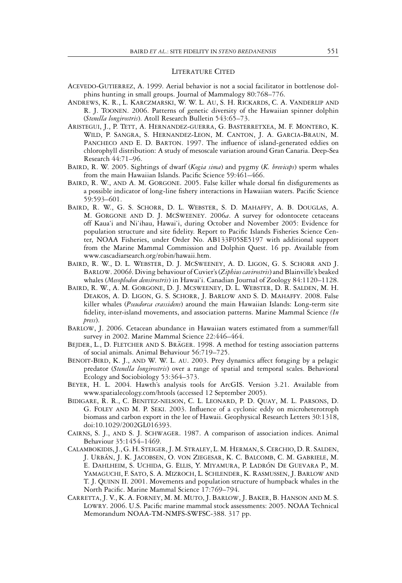#### LITERATURE CITED

- ACEVEDO-GUTIERREZ, A. 1999. Aerial behavior is not a social facilitator in bottlenose dolphins hunting in small groups. Journal of Mammalogy 80:768–776.
- ANDREWS, K. R., L. KARCZMARSKI, W. W. L. AU, S. H. RICKARDS, C. A. VANDERLIP AND R. J. TOONEN. 2006. Patterns of genetic diversity of the Hawaiian spinner dolphin (*Stenella longirostris*). Atoll Research Bulletin 543:65–73.
- ARISTEGUI, J., P. TETT, A. HERNANDEZ-GUERRA, G. BASTERRETXEA, M. F. MONTERO, K. WILD, P. SANGRA, S. HERNANDEZ-LEON, M. CANTON, J. A. GARCIA-BRAUN, M. PANCHECO AND E. D. BARTON. 1997. The influence of island-generated eddies on chlorophyll distribution: A study of mesoscale variation around Gran Canaria. Deep-Sea Research 44:71–96.
- BAIRD, R. W. 2005. Sightings of dwarf (*Kogia sima*) and pygmy (*K. breviceps*) sperm whales from the main Hawaiian Islands. Pacific Science 59:461–466.
- BAIRD, R. W., AND A. M. GORGONE. 2005. False killer whale dorsal fin disfigurements as a possible indicator of long-line fishery interactions in Hawaiian waters. Pacific Science 59:593–601.
- BAIRD, R. W., G. S. SCHORR, D. L. WEBSTER, S. D. MAHAFFY, A. B. DOUGLAS, A. M. GORGONE AND D. J. MCSWEENEY. 2006*a*. A survey for odontocete cetaceans off Kaua'i and Ni'ihau, Hawai'i, during October and November 2005: Evidence for population structure and site fidelity. Report to Pacific Islands Fisheries Science Center, NOAA Fisheries, under Order No. AB133F05SE5197 with additional support from the Marine Mammal Commission and Dolphin Quest. 16 pp. Available from www.cascadiarsearch.org/robin/hawaii.htm.
- BAIRD, R. W., D. L. WEBSTER, D. J. MCSWEENEY, A. D. LIGON, G. S. SCHORR AND J. BARLOW. 2006*b*. Diving behaviour of Cuvier's (*Ziphius cavirostris*) and Blainville's beaked whales (*Mesoplodon densirostris*) in Hawai'i. Canadian Journal of Zoology 84:1120–1128.
- BAIRD, R. W., A. M. GORGONE, D. J. MCSWEENEY, D. L. WEBSTER, D. R. SALDEN, M. H. DEAKOS, A. D. LIGON, G. S. SCHORR, J. BARLOW AND S. D. MAHAFFY. 2008. False killer whales (*Pseudorca crassidens*) around the main Hawaiian Islands: Long-term site fidelity, inter-island movements, and association patterns. Marine Mammal Science *(In press*).
- BARLOW, J. 2006. Cetacean abundance in Hawaiian waters estimated from a summer/fall survey in 2002. Marine Mammal Science 22:446–464.
- BEJDER, L., D. FLETCHER AND S. BRÄGER. 1998. A method for testing association patterns of social animals. Animal Behaviour 56:719–725.
- BENOIT-BIRD, K. J., AND W. W. L. AU. 2003. Prey dynamics affect foraging by a pelagic predator (*Stenella longirostris*) over a range of spatial and temporal scales. Behavioral Ecology and Sociobiology 53:364–373.
- BEYER, H. L. 2004. Hawth's analysis tools for ArcGIS. Version 3.21. Available from www.spatialecology.com/htools (accessed 12 September 2005).
- BIDIGARE, R. R., C. BENITEZ-NELSON, C. L. LEONARD, P. D. QUAY, M. L. PARSONS, D. G. FOLEY AND M. P. SEKI. 2003. Influence of a cyclonic eddy on microheterotroph biomass and carbon export in the lee of Hawaii. Geophysical Research Letters 30:1318, doi:10.1029/2002GL016393.
- CAIRNS, S. J., AND S. J. SCHWAGER. 1987. A comparison of association indices. Animal Behaviour 35:1454–1469.
- CALAMBOKIDIS, J., G. H. STEIGER, J. M. STRALEY, L. M. HERMAN, S. CERCHIO, D. R. SALDEN, J. URBÁN, J. K. JACOBSEN, O. VON ZIEGESAR, K. C. BALCOMB, C. M. GABRIELE, M. E. DAHLHEIM, S. UCHIDA, G. ELLIS, Y. MIYAMURA, P. LADRÓN DE GUEVARA P., M. YAMAGUCHI, F. SATO, S. A. MIZROCH, L. SCHLENDER, K. RASMUSSEN, J. BARLOW AND T. J. QUINN II. 2001. Movements and population structure of humpback whales in the North Pacific. Marine Mammal Science 17:769–794.
- CARRETTA, J. V., K. A. FORNEY, M. M. MUTO, J. BARLOW, J. BAKER, B. HANSON AND M. S. LOWRY. 2006. U.S. Pacific marine mammal stock assessments: 2005. NOAA Technical Memorandum NOAA-TM-NMFS-SWFSC-388. 317 pp.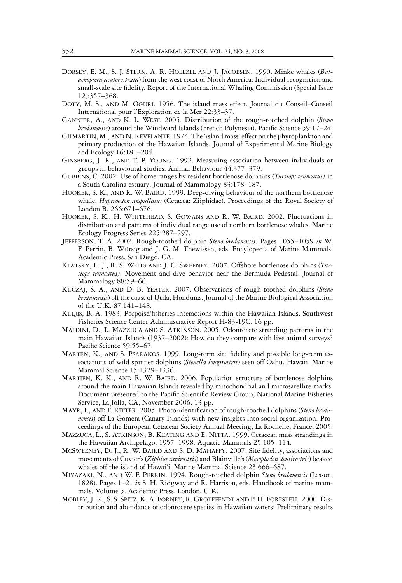- DORSEY, E. M., S. J. STERN, A. R. HOELZEL AND J. JACOBSEN. 1990. Minke whales (*Balaenoptera acutorostrata*) from the west coast of North America: Individual recognition and small-scale site fidelity. Report of the International Whaling Commission (Special Issue 12):357–368.
- DOTY, M. S., AND M. OGURI. 1956. The island mass effect. Journal du Conseil–Conseil International pour l'Exploration de la Mer 22:33–37.
- GANNIER, A., AND K. L. WEST. 2005. Distribution of the rough-toothed dolphin (*Steno bredanensis*) around the Windward Islands (French Polynesia). Pacific Science 59:17–24.
- GILMARTIN, M., AND N. REVELANTE. 1974. The'island mass'effect on the phytoplankton and primary production of the Hawaiian Islands. Journal of Experimental Marine Biology and Ecology 16:181–204.
- GINSBERG, J. R., AND T. P. YOUNG. 1992. Measuring association between individuals or groups in behavioural studies. Animal Behaviour 44:377–379.
- GUBBINS, C. 2002. Use of home ranges by resident bottlenose dolphins (*Tursiops truncatus)* in a South Carolina estuary. Journal of Mammalogy 83:178–187.
- HOOKER, S. K., AND R. W. BAIRD. 1999. Deep-diving behaviour of the northern bottlenose whale, *Hyperoodon ampullatus* (Cetacea: Ziiphidae). Proceedings of the Royal Society of London B. 266:671–676.
- HOOKER, S. K., H. WHITEHEAD, S. GOWANS AND R. W. BAIRD. 2002. Fluctuations in distribution and patterns of individual range use of northern bottlenose whales. Marine Ecology Progress Series 225:287–297.
- JEFFERSON, T. A. 2002. Rough-toothed dolphin *Steno bredanensis*. Pages 1055–1059 *in* W. F. Perrin, B. Würsig and J. G. M. Thewissen, eds. Encylopedia of Marine Mammals. Academic Press, San Diego, CA.
- KLATSKY, L. J., R. S. WELLS AND J. C. SWEENEY. 2007. Offshore bottlenose dolphins (*Tursiops truncatus)*: Movement and dive behavior near the Bermuda Pedestal. Journal of Mammalogy 88:59–66.
- KUCZAJ, S. A., AND D. B. YEATER. 2007. Observations of rough-toothed dolphins (*Steno bredanensis*) off the coast of Utila, Honduras. Journal of the Marine Biological Association of the U.K. 87:141–148.
- KULJIS, B. A. 1983. Porpoise/fisheries interactions within the Hawaiian Islands. Southwest Fisheries Science Center Administrative Report H-83-19C. 16 pp.
- MALDINI, D., L. MAZZUCA AND S. ATKINSON. 2005. Odontocete stranding patterns in the main Hawaiian Islands (1937–2002): How do they compare with live animal surveys? Pacific Science 59:55–67.
- MARTEN, K., AND S. PSARAKOS. 1999. Long-term site fidelity and possible long-term associations of wild spinner dolphins (*Stenella longirostris*) seen off Oahu, Hawaii. Marine Mammal Science 15:1329–1336.
- MARTIEN, K. K., AND R. W. BAIRD. 2006. Population structure of bottlenose dolphins around the main Hawaiian Islands revealed by mitochondrial and microsatellite marks. Document presented to the Pacific Scientific Review Group, National Marine Fisheries Service, La Jolla, CA, November 2006. 13 pp.
- MAYR, I., AND F. RITTER. 2005. Photo-identification of rough-toothed dolphins (*Steno bredanensis*) off La Gomera (Canary Islands) with new insights into social organization. Proceedings of the European Cetacean Society Annual Meeting, La Rochelle, France, 2005.
- MAZZUCA, L., S. ATKINSON, B. KEATING AND E. NITTA. 1999. Cetacean mass strandings in the Hawaiian Archipelago, 1957–1998. Aquatic Mammals 25:105–114.
- MCSWEENEY, D. J., R. W. BAIRD AND S. D. MAHAFFY. 2007. Site fidelity, associations and movements of Cuvier's (*Ziphius cavirostris*) and Blainville's (*Mesoplodon densirostris*) beaked whales off the island of Hawai'i. Marine Mammal Science 23:666–687.
- MIYAZAKI, N., AND W. F. PERRIN. 1994. Rough-toothed dolphin *Steno bredanensis* (Lesson, 1828). Pages 1–21 *in* S. H. Ridgway and R. Harrison, eds. Handbook of marine mammals. Volume 5. Academic Press, London, U.K.
- MOBLEY, J. R., S. S. SPITZ, K. A. FORNEY, R. GROTEFENDT AND P. H. FORESTELL. 2000. Distribution and abundance of odontocete species in Hawaiian waters: Preliminary results